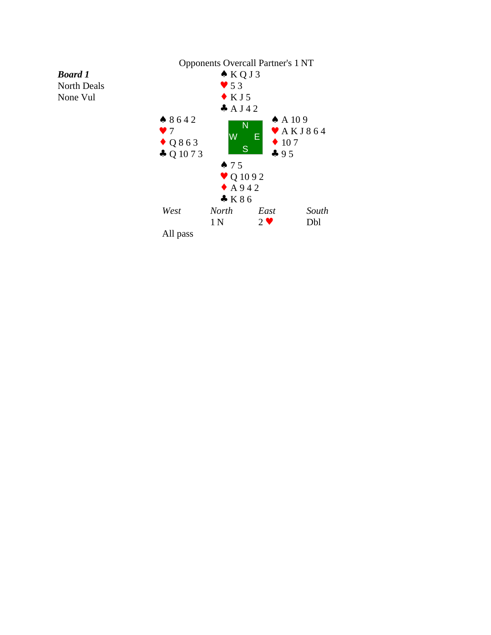

*Board 1* North Deals None Vul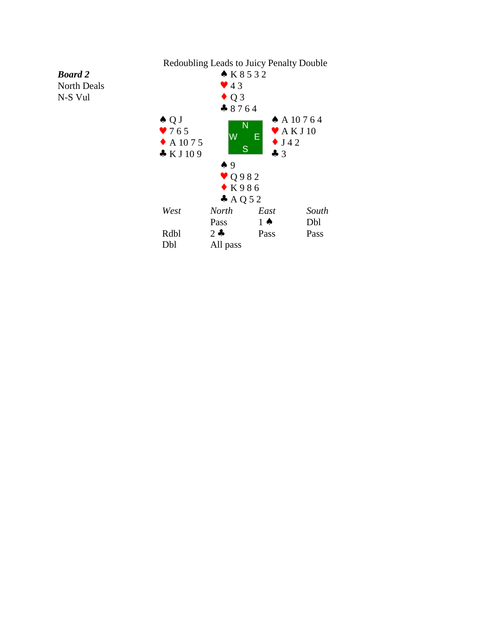## *Board 2* North Deals N-S Vul

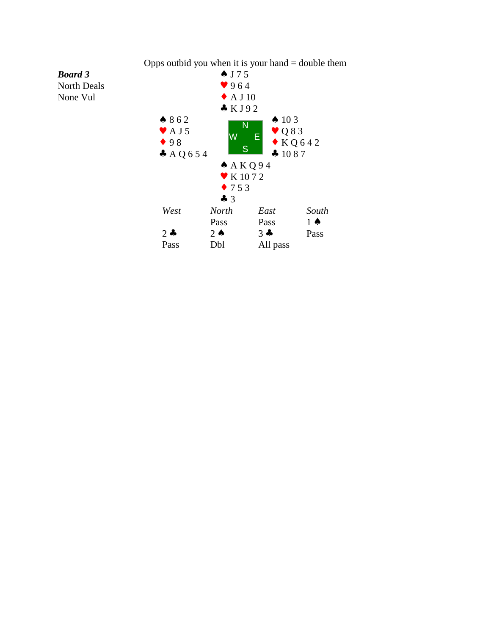

*Board 3*

Opps outbid you when it is your hand  $=$  double them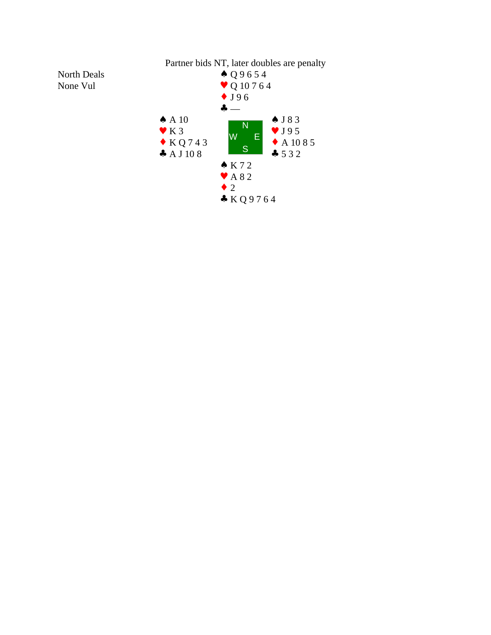

North Deals None Vul

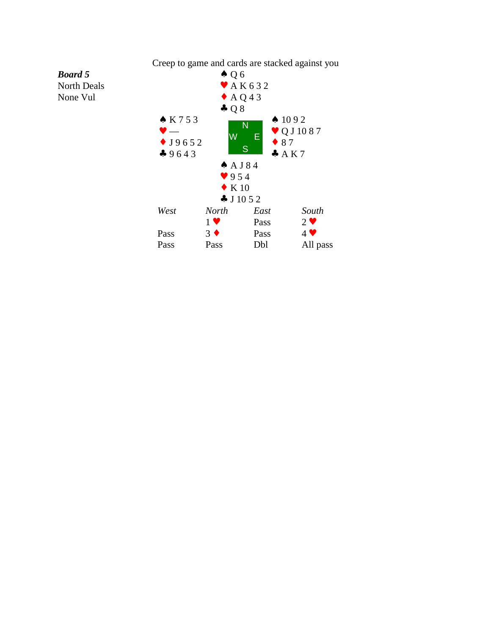

Creep to game and cards are stacked against you

## *Board 5*

North Deals None Vul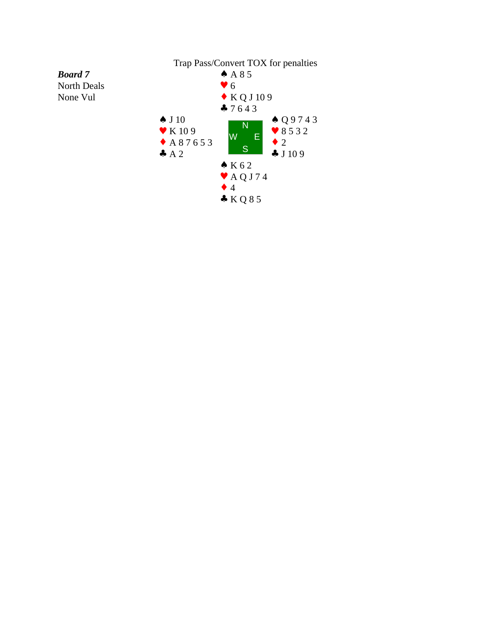